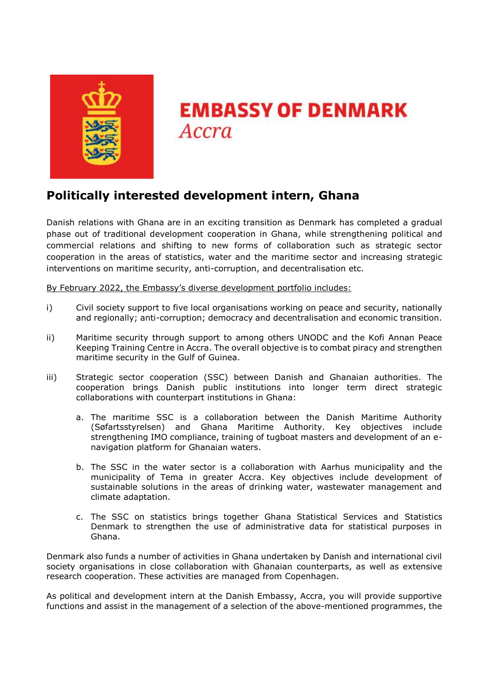

# **EMBASSY OF DENMARK** Accra

# **Politically interested development intern, Ghana**

Danish relations with Ghana are in an exciting transition as Denmark has completed a gradual phase out of traditional development cooperation in Ghana, while strengthening political and commercial relations and shifting to new forms of collaboration such as strategic sector cooperation in the areas of statistics, water and the maritime sector and increasing strategic interventions on maritime security, anti-corruption, and decentralisation etc.

By February 2022, the Embassy's diverse development portfolio includes:

- i) Civil society support to five local organisations working on peace and security, nationally and regionally; anti-corruption; democracy and decentralisation and economic transition.
- ii) Maritime security through support to among others UNODC and the Kofi Annan Peace Keeping Training Centre in Accra. The overall objective is to combat piracy and strengthen maritime security in the Gulf of Guinea.
- iii) Strategic sector cooperation (SSC) between Danish and Ghanaian authorities. The cooperation brings Danish public institutions into longer term direct strategic collaborations with counterpart institutions in Ghana:
	- a. The maritime SSC is a collaboration between the Danish Maritime Authority (Søfartsstyrelsen) and Ghana Maritime Authority. Key objectives include strengthening IMO compliance, training of tugboat masters and development of an enavigation platform for Ghanaian waters.
	- b. The SSC in the water sector is a collaboration with Aarhus municipality and the municipality of Tema in greater Accra. Key objectives include development of sustainable solutions in the areas of drinking water, wastewater management and climate adaptation.
	- c. The SSC on statistics brings together Ghana Statistical Services and Statistics Denmark to strengthen the use of administrative data for statistical purposes in Ghana.

Denmark also funds a number of activities in Ghana undertaken by Danish and international civil society organisations in close collaboration with Ghanaian counterparts, as well as extensive research cooperation. These activities are managed from Copenhagen.

As political and development intern at the Danish Embassy, Accra, you will provide supportive functions and assist in the management of a selection of the above-mentioned programmes, the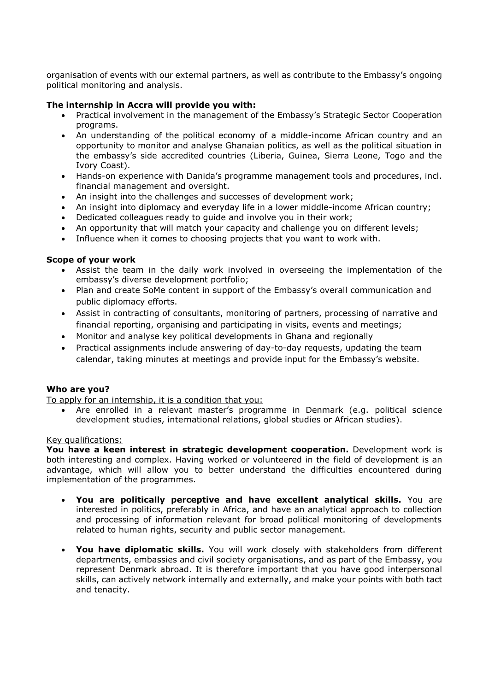organisation of events with our external partners, as well as contribute to the Embassy's ongoing political monitoring and analysis.

# **The internship in Accra will provide you with:**

- Practical involvement in the management of the Embassy's Strategic Sector Cooperation programs.
- An understanding of the political economy of a middle-income African country and an opportunity to monitor and analyse Ghanaian politics, as well as the political situation in the embassy's side accredited countries (Liberia, Guinea, Sierra Leone, Togo and the Ivory Coast).
- Hands-on experience with Danida's programme management tools and procedures, incl. financial management and oversight.
- An insight into the challenges and successes of development work;
- An insight into diplomacy and everyday life in a lower middle-income African country;
- Dedicated colleagues ready to guide and involve you in their work;
- An opportunity that will match your capacity and challenge you on different levels;
- Influence when it comes to choosing projects that you want to work with.

## **Scope of your work**

- Assist the team in the daily work involved in overseeing the implementation of the embassy's diverse development portfolio;
- Plan and create SoMe content in support of the Embassy's overall communication and public diplomacy efforts.
- Assist in contracting of consultants, monitoring of partners, processing of narrative and financial reporting, organising and participating in visits, events and meetings;
- Monitor and analyse key political developments in Ghana and regionally
- Practical assignments include answering of day-to-day requests, updating the team calendar, taking minutes at meetings and provide input for the Embassy's website.

## **Who are you?**

To apply for an internship, it is a condition that you:

 Are enrolled in a relevant master's programme in Denmark (e.g. political science development studies, international relations, global studies or African studies).

#### Key qualifications:

**You have a keen interest in strategic development cooperation.** Development work is both interesting and complex. Having worked or volunteered in the field of development is an advantage, which will allow you to better understand the difficulties encountered during implementation of the programmes.

- **You are politically perceptive and have excellent analytical skills.** You are interested in politics, preferably in Africa, and have an analytical approach to collection and processing of information relevant for broad political monitoring of developments related to human rights, security and public sector management.
- **You have diplomatic skills.** You will work closely with stakeholders from different departments, embassies and civil society organisations, and as part of the Embassy, you represent Denmark abroad. It is therefore important that you have good interpersonal skills, can actively network internally and externally, and make your points with both tact and tenacity.